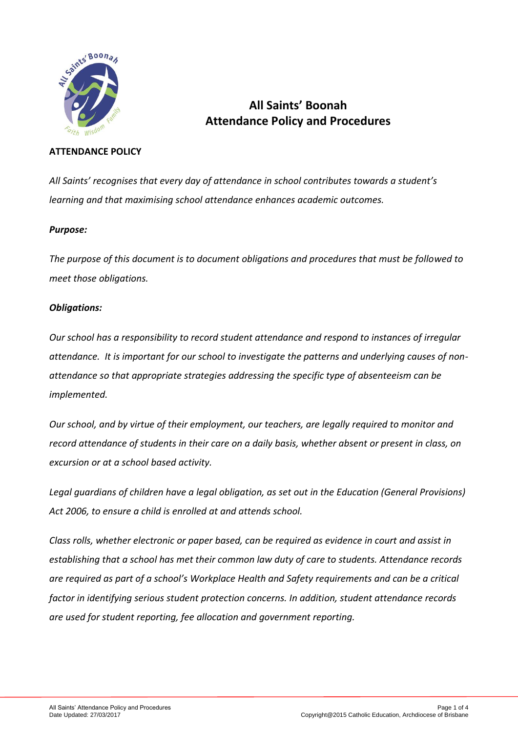

# **All Saints' Boonah Attendance Policy and Procedures**

## **ATTENDANCE POLICY**

*All Saints' recognises that every day of attendance in school contributes towards a student's learning and that maximising school attendance enhances academic outcomes.* 

## *Purpose:*

*The purpose of this document is to document obligations and procedures that must be followed to meet those obligations.*

## *Obligations:*

*Our school has a responsibility to record student attendance and respond to instances of irregular attendance. It is important for our school to investigate the patterns and underlying causes of nonattendance so that appropriate strategies addressing the specific type of absenteeism can be implemented.*

*Our school, and by virtue of their employment, our teachers, are legally required to monitor and record attendance of students in their care on a daily basis, whether absent or present in class, on excursion or at a school based activity.* 

*Legal guardians of children have a legal obligation, as set out in the Education (General Provisions) Act 2006, to ensure a child is enrolled at and attends school.* 

*Class rolls, whether electronic or paper based, can be required as evidence in court and assist in establishing that a school has met their common law duty of care to students. Attendance records are required as part of a school's Workplace Health and Safety requirements and can be a critical factor in identifying serious student protection concerns. In addition, student attendance records are used for student reporting, fee allocation and government reporting.*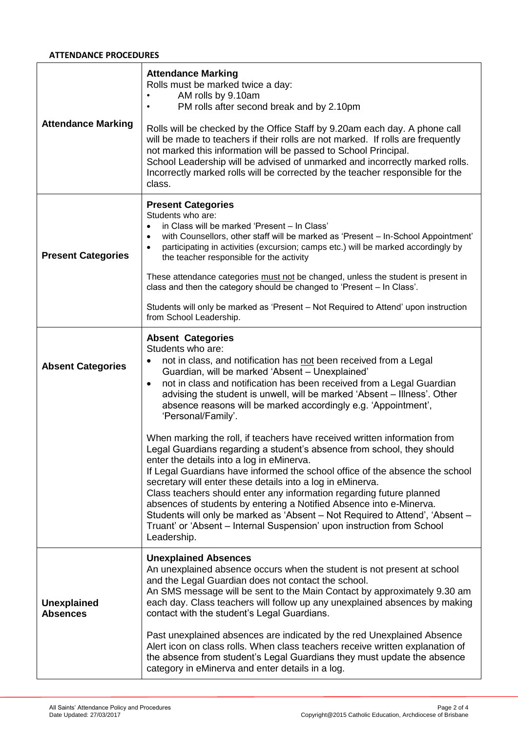### **ATTENDANCE PROCEDURES**

| <b>Attendance Marking</b>             | <b>Attendance Marking</b><br>Rolls must be marked twice a day:<br>AM rolls by 9.10am<br>PM rolls after second break and by 2.10pm<br>$\bullet$<br>Rolls will be checked by the Office Staff by 9.20am each day. A phone call<br>will be made to teachers if their rolls are not marked. If rolls are frequently<br>not marked this information will be passed to School Principal.<br>School Leadership will be advised of unmarked and incorrectly marked rolls.<br>Incorrectly marked rolls will be corrected by the teacher responsible for the<br>class.                                                                                                                                                                                                                                                                                                                                                                                                                                                                                                                                                           |
|---------------------------------------|------------------------------------------------------------------------------------------------------------------------------------------------------------------------------------------------------------------------------------------------------------------------------------------------------------------------------------------------------------------------------------------------------------------------------------------------------------------------------------------------------------------------------------------------------------------------------------------------------------------------------------------------------------------------------------------------------------------------------------------------------------------------------------------------------------------------------------------------------------------------------------------------------------------------------------------------------------------------------------------------------------------------------------------------------------------------------------------------------------------------|
| <b>Present Categories</b>             | <b>Present Categories</b><br>Students who are:<br>in Class will be marked 'Present - In Class'<br>$\bullet$<br>with Counsellors, other staff will be marked as 'Present - In-School Appointment'<br>participating in activities (excursion; camps etc.) will be marked accordingly by<br>$\bullet$<br>the teacher responsible for the activity<br>These attendance categories must not be changed, unless the student is present in<br>class and then the category should be changed to 'Present - In Class'.<br>Students will only be marked as 'Present – Not Required to Attend' upon instruction<br>from School Leadership.                                                                                                                                                                                                                                                                                                                                                                                                                                                                                        |
| <b>Absent Categories</b>              | <b>Absent Categories</b><br>Students who are:<br>not in class, and notification has not been received from a Legal<br>$\bullet$<br>Guardian, will be marked 'Absent - Unexplained'<br>not in class and notification has been received from a Legal Guardian<br>$\bullet$<br>advising the student is unwell, will be marked 'Absent - Illness'. Other<br>absence reasons will be marked accordingly e.g. 'Appointment',<br>'Personal/Family'.<br>When marking the roll, if teachers have received written information from<br>Legal Guardians regarding a student's absence from school, they should<br>enter the details into a log in eMinerva.<br>If Legal Guardians have informed the school office of the absence the school<br>secretary will enter these details into a log in eMinerva.<br>Class teachers should enter any information regarding future planned<br>absences of students by entering a Notified Absence into e-Minerva.<br>Students will only be marked as 'Absent - Not Required to Attend', 'Absent -<br>Truant' or 'Absent - Internal Suspension' upon instruction from School<br>Leadership. |
| <b>Unexplained</b><br><b>Absences</b> | <b>Unexplained Absences</b><br>An unexplained absence occurs when the student is not present at school<br>and the Legal Guardian does not contact the school.<br>An SMS message will be sent to the Main Contact by approximately 9.30 am<br>each day. Class teachers will follow up any unexplained absences by making<br>contact with the student's Legal Guardians.<br>Past unexplained absences are indicated by the red Unexplained Absence<br>Alert icon on class rolls. When class teachers receive written explanation of<br>the absence from student's Legal Guardians they must update the absence<br>category in eMinerva and enter details in a log.                                                                                                                                                                                                                                                                                                                                                                                                                                                       |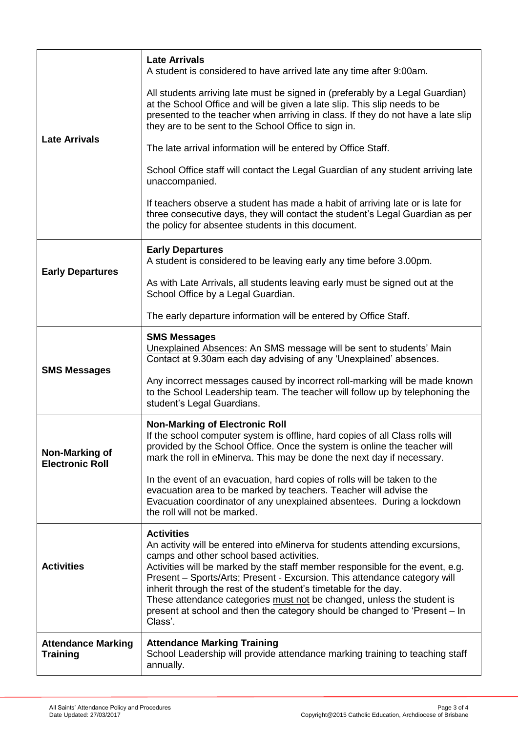| <b>Late Arrivals</b>                            | <b>Late Arrivals</b><br>A student is considered to have arrived late any time after 9:00am.                                                                                                                                                                                                                                                                                                                                                                                                                                                        |
|-------------------------------------------------|----------------------------------------------------------------------------------------------------------------------------------------------------------------------------------------------------------------------------------------------------------------------------------------------------------------------------------------------------------------------------------------------------------------------------------------------------------------------------------------------------------------------------------------------------|
|                                                 | All students arriving late must be signed in (preferably by a Legal Guardian)<br>at the School Office and will be given a late slip. This slip needs to be<br>presented to the teacher when arriving in class. If they do not have a late slip<br>they are to be sent to the School Office to sign in.                                                                                                                                                                                                                                             |
|                                                 | The late arrival information will be entered by Office Staff.                                                                                                                                                                                                                                                                                                                                                                                                                                                                                      |
|                                                 | School Office staff will contact the Legal Guardian of any student arriving late<br>unaccompanied.                                                                                                                                                                                                                                                                                                                                                                                                                                                 |
|                                                 | If teachers observe a student has made a habit of arriving late or is late for<br>three consecutive days, they will contact the student's Legal Guardian as per<br>the policy for absentee students in this document.                                                                                                                                                                                                                                                                                                                              |
| <b>Early Departures</b>                         | <b>Early Departures</b><br>A student is considered to be leaving early any time before 3.00pm.                                                                                                                                                                                                                                                                                                                                                                                                                                                     |
|                                                 | As with Late Arrivals, all students leaving early must be signed out at the<br>School Office by a Legal Guardian.                                                                                                                                                                                                                                                                                                                                                                                                                                  |
|                                                 | The early departure information will be entered by Office Staff.                                                                                                                                                                                                                                                                                                                                                                                                                                                                                   |
| <b>SMS Messages</b>                             | <b>SMS Messages</b><br>Unexplained Absences: An SMS message will be sent to students' Main<br>Contact at 9.30am each day advising of any 'Unexplained' absences.                                                                                                                                                                                                                                                                                                                                                                                   |
|                                                 | Any incorrect messages caused by incorrect roll-marking will be made known<br>to the School Leadership team. The teacher will follow up by telephoning the<br>student's Legal Guardians.                                                                                                                                                                                                                                                                                                                                                           |
| <b>Non-Marking of</b><br><b>Electronic Roll</b> | <b>Non-Marking of Electronic Roll</b><br>If the school computer system is offline, hard copies of all Class rolls will<br>provided by the School Office. Once the system is online the teacher will<br>mark the roll in eMinerva. This may be done the next day if necessary.                                                                                                                                                                                                                                                                      |
|                                                 | In the event of an evacuation, hard copies of rolls will be taken to the<br>evacuation area to be marked by teachers. Teacher will advise the<br>Evacuation coordinator of any unexplained absentees. During a lockdown<br>the roll will not be marked.                                                                                                                                                                                                                                                                                            |
| <b>Activities</b>                               | <b>Activities</b><br>An activity will be entered into eMinerva for students attending excursions,<br>camps and other school based activities.<br>Activities will be marked by the staff member responsible for the event, e.g.<br>Present - Sports/Arts; Present - Excursion. This attendance category will<br>inherit through the rest of the student's timetable for the day.<br>These attendance categories must not be changed, unless the student is<br>present at school and then the category should be changed to 'Present – In<br>Class'. |
| <b>Attendance Marking</b><br><b>Training</b>    | <b>Attendance Marking Training</b><br>School Leadership will provide attendance marking training to teaching staff<br>annually.                                                                                                                                                                                                                                                                                                                                                                                                                    |